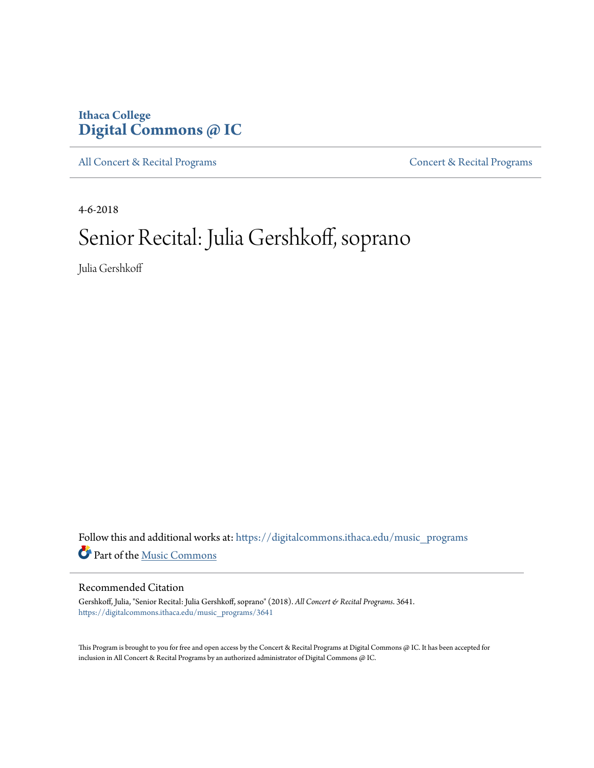# **Ithaca College [Digital Commons @ IC](https://digitalcommons.ithaca.edu?utm_source=digitalcommons.ithaca.edu%2Fmusic_programs%2F3641&utm_medium=PDF&utm_campaign=PDFCoverPages)**

[All Concert & Recital Programs](https://digitalcommons.ithaca.edu/music_programs?utm_source=digitalcommons.ithaca.edu%2Fmusic_programs%2F3641&utm_medium=PDF&utm_campaign=PDFCoverPages) **[Concert & Recital Programs](https://digitalcommons.ithaca.edu/som_programs?utm_source=digitalcommons.ithaca.edu%2Fmusic_programs%2F3641&utm_medium=PDF&utm_campaign=PDFCoverPages)** 

4-6-2018

# Senior Recital: Julia Gershkoff, soprano

Julia Gershkoff

Follow this and additional works at: [https://digitalcommons.ithaca.edu/music\\_programs](https://digitalcommons.ithaca.edu/music_programs?utm_source=digitalcommons.ithaca.edu%2Fmusic_programs%2F3641&utm_medium=PDF&utm_campaign=PDFCoverPages) Part of the [Music Commons](http://network.bepress.com/hgg/discipline/518?utm_source=digitalcommons.ithaca.edu%2Fmusic_programs%2F3641&utm_medium=PDF&utm_campaign=PDFCoverPages)

#### Recommended Citation

Gershkoff, Julia, "Senior Recital: Julia Gershkoff, soprano" (2018). *All Concert & Recital Programs*. 3641. [https://digitalcommons.ithaca.edu/music\\_programs/3641](https://digitalcommons.ithaca.edu/music_programs/3641?utm_source=digitalcommons.ithaca.edu%2Fmusic_programs%2F3641&utm_medium=PDF&utm_campaign=PDFCoverPages)

This Program is brought to you for free and open access by the Concert & Recital Programs at Digital Commons @ IC. It has been accepted for inclusion in All Concert & Recital Programs by an authorized administrator of Digital Commons @ IC.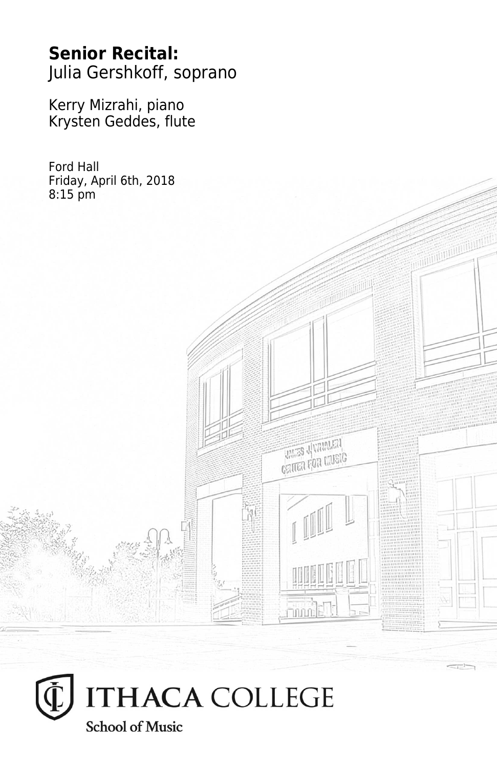# **Senior Recital:** Julia Gershkoff, soprano

**UNITED** SUPPORTS **CELLEY LEQUE L'UNESIG** 

Kerry Mizrahi, piano Krysten Geddes, flute

Ford Hall Friday, April 6th, 2018 8:15 pm

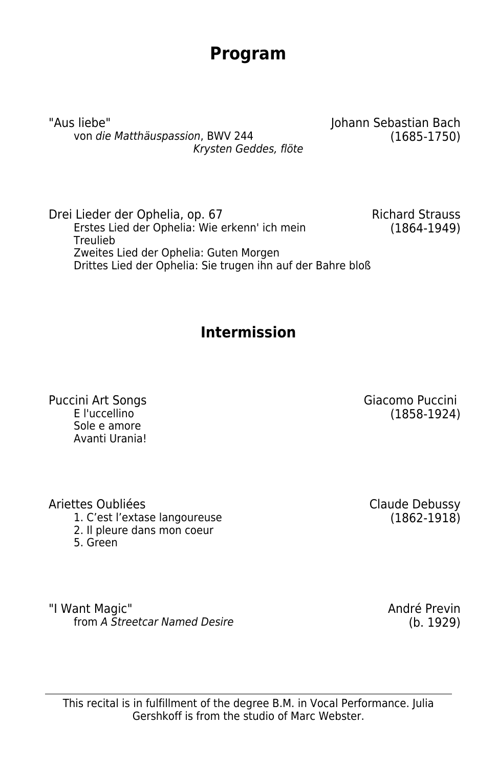# **Program**

Johann Sebastian Bach"<br>von die Matthäuspassion, BWV 244 (1685-1750) von die Matthäuspassion, BWV 244 Krysten Geddes, flöte

Drei Lieder der Ophelia, op. 67 Michard Strauss<br>Erstes Lied der Ophelia: Wie erkenn' ich mein (1864-1949) Erstes Lied der Ophelia: Wie erkenn' ich mein Treulieb Zweites Lied der Ophelia: Guten Morgen Drittes Lied der Ophelia: Sie trugen ihn auf der Bahre bloß

# **Intermission**

Puccini Art Songs<br>E l'uccellino de Controlle de Controlle (1858-1924)<br>(1858-1924) Sole e amore Avanti Urania!

1. C'est l'extase langoureuse

- 2. Il pleure dans mon coeur
- 5. Green

"I Want Magic" (and The Saint Magic University of the Street André Prevince André Prevince André Prevince Andr<br>(b. 1929) (b. 1929) from A Streetcar Named Desire

 $(1858-1924)$ 

Ariettes Oubliées<br>1. C'est l'extase langoureuse de la communistée de la C'est l'extase langoureuse

This recital is in fulfillment of the degree B.M. in Vocal Performance. Julia Gershkoff is from the studio of Marc Webster.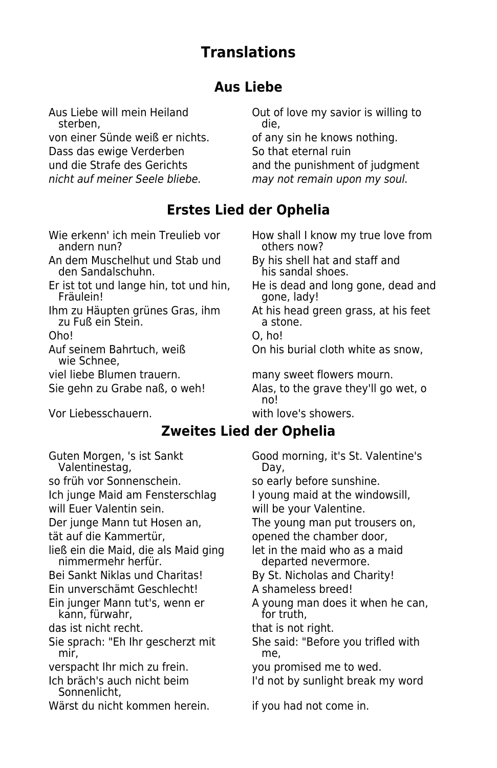# **Translations**

#### **Aus Liebe**

sterben, von einer Sünde weiß er nichts. of any sin he knows nothing. Dass das ewige Verderben So that eternal ruin nicht auf meiner Seele bliebe. may not remain upon my soul.

An dem Muschelhut und Stab und By his shell hat and staff and<br>den Sandalschuhn. bis sandal shoes. den Sandalschuhn.

- 
- zu Fuß ein Stein.

- wie Schnee,
- 
- 

Vor Liebesschauern. with love's showers.

Aus Liebe will mein Heiland **Out of love my savior is willing to**<br>
die, die und die Strafe des Gerichts and the punishment of judgment

### **Erstes Lied der Ophelia**

- Wie erkenn' ich mein Treulieb vor How shall I know my true love from<br>
andern nun?<br>
others now? others now?
	-
- Er ist tot und lange hin, tot und hin, <br>Fräulein! He is dead and long gone, day! gone, lady!
- Ihm zu Häupten grünes Gras, ihm At his head green grass, at his feet

Oho! O, ho!

Auf seinem Bahrtuch, weiß On his burial cloth white as snow,

viel liebe Blumen trauern. many sweet flowers mourn.

Sie gehn zu Grabe naß, o weh! Alas, to the grave they'll go wet, o no!

#### **Zweites Lied der Ophelia**

Guten Morgen, 's ist Sankt Good morning, it's St. Valentine's<br>
Valentinestag, Case Bay, Valentinestag, so früh vor Sonnenschein. so early before sunshine. Ich junge Maid am Fensterschlag I young maid at the windowsill, will Euer Valentin sein. The will be your Valentine. Der junge Mann tut Hosen an, The young man put trousers on, tät auf die Kammertür, auch der eine opened the chamber door, ließ ein die Maid, die als Maid ging let in the maid who as a maid nimmermehr herfür. Bei Sankt Niklas und Charitas! By St. Nicholas and Charity! Ein unverschämt Geschlecht! A shameless breed! Ein junger Mann tut's, wenn er A young man does it when he can,<br>
kann, fürwahr.<br>
for truth. kann, fürwahr, das ist nicht recht. that is not right. Sie sprach: "Eh Ihr gescherzt mit She said: "Before you trifled with<br>mir mir, me, verspacht Ihr mich zu frein. you promised me to wed. Ich bräch's auch nicht beim I'd not by sunlight break my word Sonnenlicht, Wärst du nicht kommen herein. if you had not come in.

departed nevermore.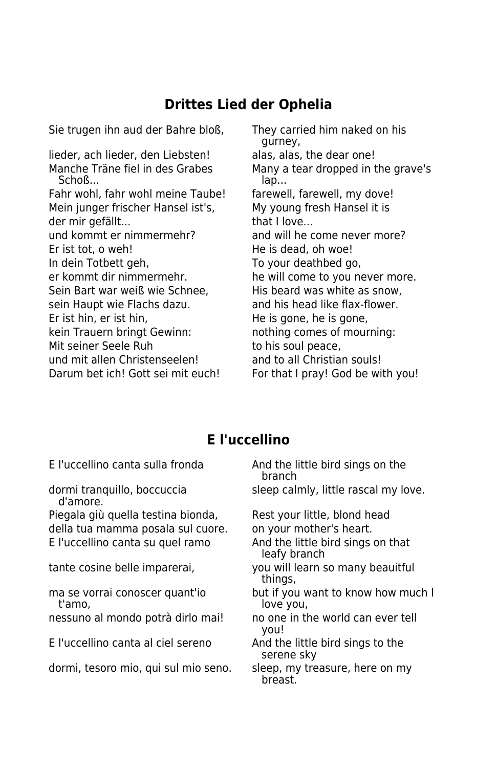#### **Drittes Lied der Ophelia**

Sie trugen ihn aud der Bahre bloß, They carried him naked on his

lieder, ach lieder, den Liebsten! alas, alas, the dear one! Schoß... lap... Fahr wohl, fahr wohl meine Taube! farewell, farewell, my dove! Mein junger frischer Hansel ist's, My young fresh Hansel it is der mir gefällt... in that I love... und kommt er nimmermehr? and will he come never more? Er ist tot, o weh!<br>
He is dead, oh woe! In dein Totbett geh, The State To your deathbed go, er kommt dir nimmermehr. he will come to you never more. Sein Bart war weiß wie Schnee, His beard was white as snow, sein Haupt wie Flachs dazu. The and his head like flax-flower. Er ist hin, er ist hin, Er is gone, he is gone, he is gone, kein Trauern bringt Gewinn: nothing comes of mourning: Mit seiner Seele Ruh to his soul peace, und mit allen Christenseelen! and to all Christian souls! Darum bet ich! Gott sei mit euch! For that I pray! God be with you!

 gurney, Manche Träne fiel in des Grabes Many a tear dropped in the grave's

#### **E l'uccellino**

dormi tranquillo, boccuccia sleep calmly, little rascal my love. d'amore.

Piegala giù quella testina bionda, Rest your little, blond head della tua mamma posala sul cuore. on your mother's heart. E l'uccellino canta su quel ramo And the little bird sings on that

t'amo, love you,

E l'uccellino canta al ciel sereno And the little bird sings to the

dormi, tesoro mio, qui sul mio seno. sleep, my treasure, here on my

E l'uccellino canta sulla fronda And the little bird sings on the branch

leafy branch

tante cosine belle imparerai, you will learn so many beauitful things,

ma se vorrai conoscer quant'io but if you want to know how much I

nessuno al mondo potrà dirlo mai! no one in the world can ever tell you!

serene sky

breast.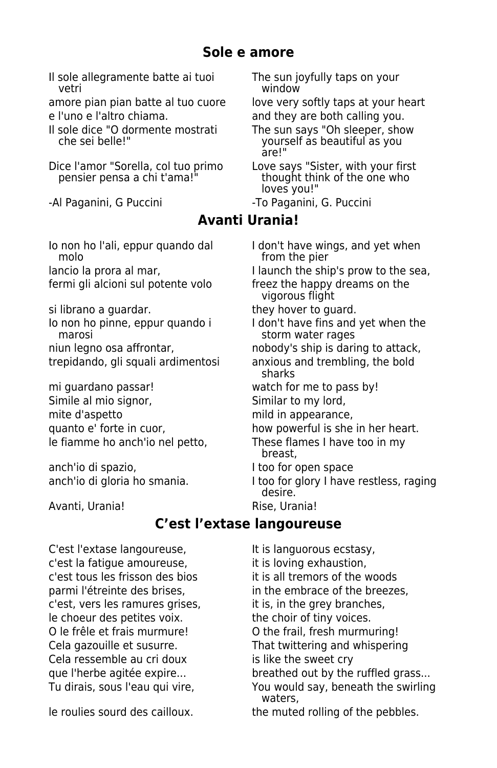#### **Sole e amore**

Il sole allegramente batte ai tuoi The sun joyfully taps on your<br>vetri indow

amore pian pian batte al tuo cuore love very softly taps at your heart

Il sole dice "O dormente mostrati The sun says "Oh sleeper, show

Dice l'amor "Sorella, col tuo primo Love says "Sister, with your first pensier pensa a chi t'ama!"

# window

e l'uno e l'altro chiama. and they are both calling you.

yourself as beautiful as you are!"

loves you!"

-Al Paganini, G Puccini - To Paganini, G. Puccini

#### **Avanti Urania!**

fermi gli alcioni sul potente volo freez the happy dreams on the

trepidando, gli squali ardimentosi anxious and trembling, the bold

mi guardano passar! watch for me to pass by! Simile al mio signor, Similar to my lord, mite d'aspetto mild in appearance,

anch'io di spazio, anch'io di spazio,

Avanti, Urania! The Contract of the Rise, Urania!

#### **C'est l'extase langoureuse**

C'est l'extase langoureuse, lt is languorous ecstasy, c'est la fatique amoureuse, it is loving exhaustion, c'est tous les frisson des bios it is all tremors of the woods c'est, vers les ramures grises, it is, in the grey branches, le choeur des petites voix. the choir of tiny voices. O le frêle et frais murmure! O the frail, fresh murmuring! Cela ressemble au cri doux is like the sweet cry

Io non ho l'ali, eppur quando dal I don't have wings, and yet when<br>I don't have wings, and yet when from the pier lancio la prora al mar, and in the ship's prow to the sea, vigorous flight si librano a guardar. They hove to guard. Io non ho pinne, eppur quando i I don't have fins and yet when the<br>storm water rages storm water rages niun legno osa affrontar, nobody's ship is daring to attack, sharks quanto e' forte in cuor, how powerful is she in her heart. le fiamme ho anch'io nel petto, These flames I have too in my breast, anch'io di gloria ho smania. I too for glory I have restless, raging desire.

parmi l'étreinte des brises, in the embrace of the breezes, Cela gazouille et susurre. That twittering and whispering que l'herbe agitée expire... breathed out by the ruffled grass... Tu dirais, sous l'eau qui vire, You would say, beneath the swirling waters, le roulies sourd des cailloux. the muted rolling of the pebbles.